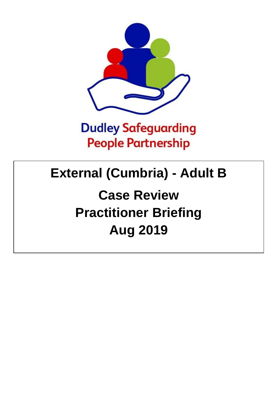

## **Dudley Safeguarding People Partnership**

## **External (Cumbria) - Adult B**

# **Case Review Practitioner Briefing Aug 2019**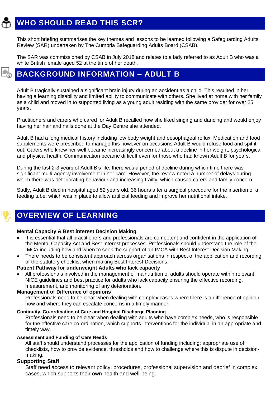## **WHO SHOULD READ THIS SCR?**

This short briefing summarises the key themes and lessons to be learned following a Safeguarding Adults Review (SAR) undertaken by The Cumbria Safeguarding Adults Board (CSAB).

The SAR was commissioned by CSAB in July 2018 and relates to a lady referred to as Adult B who was a white British female aged 52 at the time of her death.

### **BACKGROUND INFORMATION – ADULT B**

Adult B tragically sustained a significant brain injury during an accident as a child. This resulted in her having a learning disability and limited ability to communicate with others. She lived at home with her family as a child and moved in to supported living as a young adult residing with the same provider for over 25 years.

Practitioners and carers who cared for Adult B recalled how she liked singing and dancing and would enjoy having her hair and nails done at the Day Centre she attended.

Adult B had a long medical history including low body weight and oesophageal reflux. Medication and food supplements were prescribed to manage this however on occasions Adult B would refuse food and spit it out. Carers who knew her well became increasingly concerned about a decline in her weight, psychological and physical health. Communication became difficult even for those who had known Adult B for years.

During the last 2-3 years of Adult B's life, there was a period of decline during which time there was significant multi-agency involvement in her care. However, the review noted a number of delays during which there was deteriorating behaviour and increasing frailty, which caused carers and family concern.

Sadly, Adult B died in hospital aged 52 years old, 36 hours after a surgical procedure for the insertion of a feeding tube, which was in place to allow artificial feeding and improve her nutritional intake.

### **OVERVIEW OF LEARNING**

#### **Mental Capacity & Best interest Decision Making**

- It is essential that all practitioners and professionals are competent and confident in the application of the Mental Capacity Act and Best Interest processes. Professionals should understand the role of the IMCA including how and when to seek the support of an IMCA with Best Interest Decision Making.
- There needs to be consistent approach across organisations in respect of the application and recording of the statutory checklist when making Best Interest Decisions.

#### **Patient Pathway for underweight Adults who lack capacity**

• All professionals involved in the management of malnutrition of adults should operate within relevant NICE guidelines and best practice for adults who lack capacity ensuring the effective recording, measurement, and monitoring of any deterioration.

#### **Management of Difference of opinions**

Professionals need to be clear when dealing with complex cases where there is a difference of opinion how and where they can escalate concerns in a timely manner.

#### **Continuity, Co-ordination of Care and Hospital Discharge Planning**

Professionals need to be clear when dealing with adults who have complex needs, who is responsible for the effective care co-ordination, which supports interventions for the individual in an appropriate and timely way.

#### **Assessment and Funding of Care Needs**

All staff should understand processes for the application of funding including; appropriate use of checklists, how to provide evidence, thresholds and how to challenge where this is dispute in decisionmaking.

#### **Supporting Staff**

Staff need access to relevant policy, procedures, professional supervision and debrief in complex cases, which supports their own health and well-being.